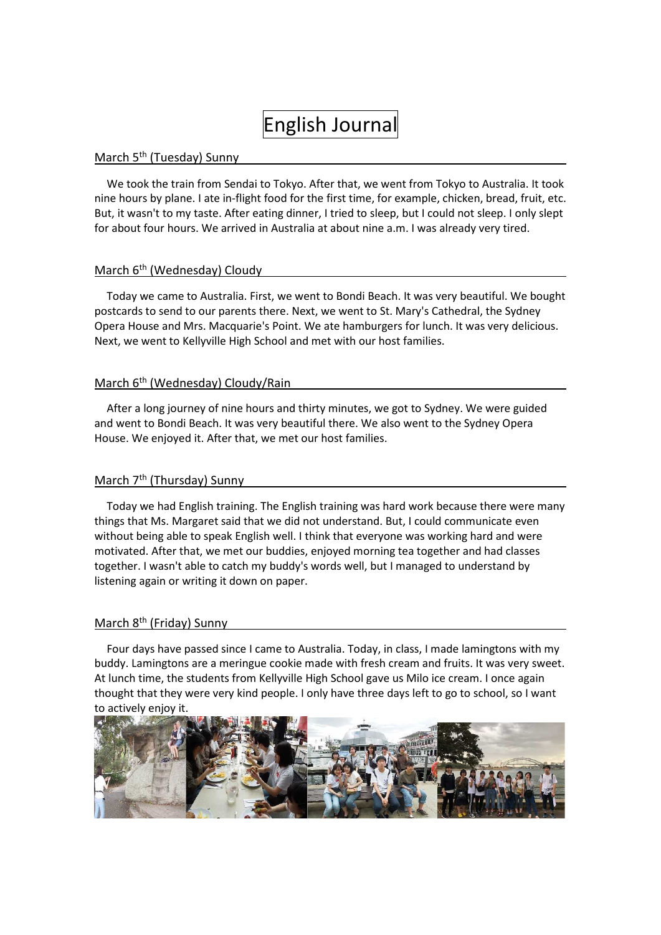# English Journal

#### March 5<sup>th</sup> (Tuesday) Sunny

We took the train from Sendai to Tokyo. After that, we went from Tokyo to Australia. It took nine hours by plane. I ate in-flight food for the first time, for example, chicken, bread, fruit, etc. But, it wasn't to my taste. After eating dinner, I tried to sleep, but I could not sleep. I only slept for about four hours. We arrived in Australia at about nine a.m. I was already very tired.

## March 6<sup>th</sup> (Wednesday) Cloudy

Today we came to Australia. First, we went to Bondi Beach. It was very beautiful. We bought postcards to send to our parents there. Next, we went to St. Mary's Cathedral, the Sydney Opera House and Mrs. Macquarie's Point. We ate hamburgers for lunch. It was very delicious. Next, we went to Kellyville High School and met with our host families.

#### March 6<sup>th</sup> (Wednesday) Cloudy/Rain

After a long journey of nine hours and thirty minutes, we got to Sydney. We were guided and went to Bondi Beach. It was very beautiful there. We also went to the Sydney Opera House. We enjoyed it. After that, we met our host families.

## March 7<sup>th</sup> (Thursday) Sunny

Today we had English training. The English training was hard work because there were many things that Ms. Margaret said that we did not understand. But, I could communicate even without being able to speak English well. I think that everyone was working hard and were motivated. After that, we met our buddies, enjoyed morning tea together and had classes together. I wasn't able to catch my buddy's words well, but I managed to understand by listening again or writing it down on paper.

#### March 8<sup>th</sup> (Friday) Sunny

Four days have passed since I came to Australia. Today, in class, I made lamingtons with my buddy. Lamingtons are a meringue cookie made with fresh cream and fruits. It was very sweet. At lunch time, the students from Kellyville High School gave us Milo ice cream. I once again thought that they were very kind people. I only have three days left to go to school, so I want to actively enjoy it.

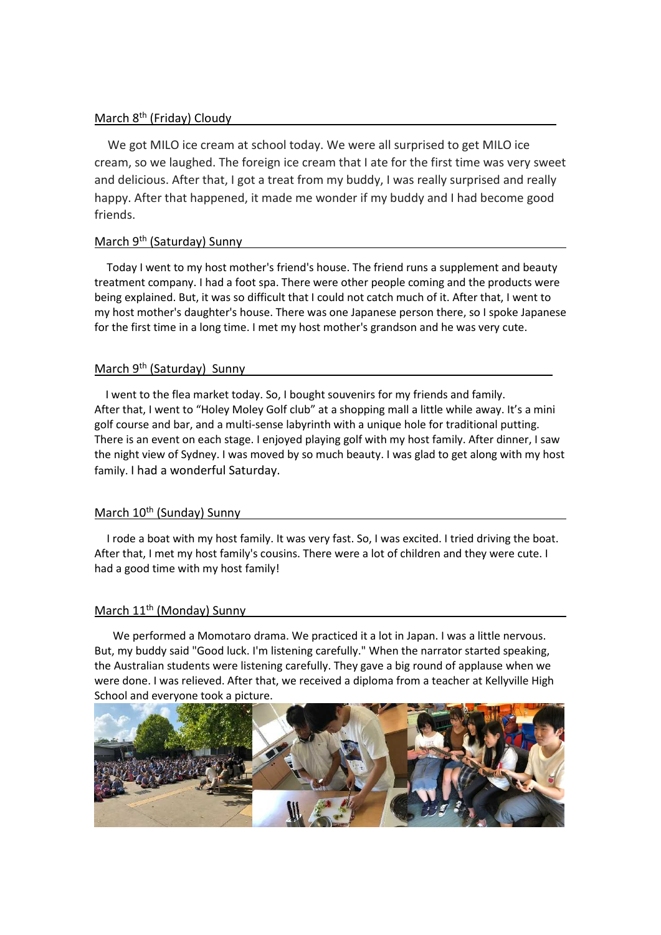# March 8<sup>th</sup> (Friday) Cloudy years and the state of the state of the state of the state of the state of the state of the state of the state of the state of the state of the state of the state of the state of the state of th

We got MILO ice cream at school today. We were all surprised to get MILO ice cream, so we laughed. The foreign ice cream that I ate for the first time was very sweet and delicious. After that, I got a treat from my buddy, I was really surprised and really happy. After that happened, it made me wonder if my buddy and I had become good friends.

# March 9<sup>th</sup> (Saturday) Sunny

Today I went to my host mother's friend's house. The friend runs a supplement and beauty treatment company. I had a foot spa. There were other people coming and the products were being explained. But, it was so difficult that I could not catch much of it. After that, I went to my host mother's daughter's house. There was one Japanese person there, so I spoke Japanese for the first time in a long time. I met my host mother's grandson and he was very cute.

# March 9<sup>th</sup> (Saturday) Sunny of the state of the state of the state of the state of the state of the state of the state of the state of the state of the state of the state of the state of the state of the state of the stat

I went to the flea market today. So, I bought souvenirs for my friends and family. After that, I went to "Holey Moley Golf club" at a shopping mall a little while away. It's a mini golf course and bar, and a multi-sense labyrinth with a unique hole for traditional putting. There is an event on each stage. I enjoyed playing golf with my host family. After dinner, I saw the night view of Sydney. I was moved by so much beauty. I was glad to get along with my host family. I had a wonderful Saturday.

#### March 10<sup>th</sup> (Sunday) Sunny

I rode a boat with my host family. It was very fast. So, I was excited. I tried driving the boat. After that, I met my host family's cousins. There were a lot of children and they were cute. I had a good time with my host family!

# March 11<sup>th</sup> (Monday) Sunny

We performed a Momotaro drama. We practiced it a lot in Japan. I was a little nervous. But, my buddy said "Good luck. I'm listening carefully." When the narrator started speaking, the Australian students were listening carefully. They gave a big round of applause when we were done. I was relieved. After that, we received a diploma from a teacher at Kellyville High School and everyone took a picture.

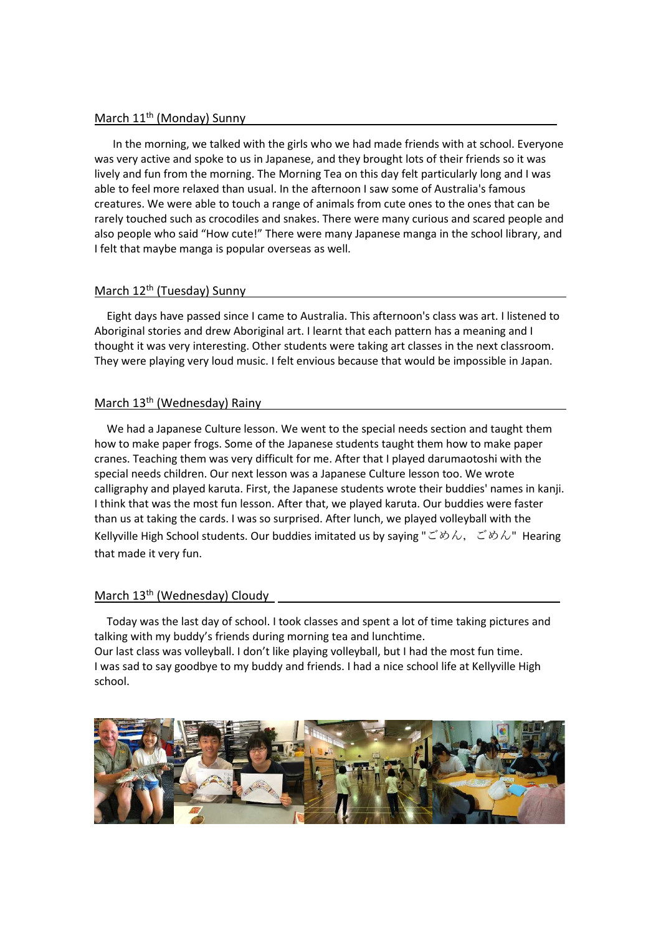## March 11<sup>th</sup> (Monday) Sunny Games and Contain the Container of the March 11<sup>th</sup> (Monday) Sunny

In the morning, we talked with the girls who we had made friends with at school. Everyone was very active and spoke to us in Japanese, and they brought lots of their friends so it was lively and fun from the morning. The Morning Tea on this day felt particularly long and I was able to feel more relaxed than usual. In the afternoon I saw some of Australia's famous creatures. We were able to touch a range of animals from cute ones to the ones that can be rarely touched such as crocodiles and snakes. There were many curious and scared people and also people who said "How cute!" There were many Japanese manga in the school library, and I felt that maybe manga is popular overseas as well.

## March 12<sup>th</sup> (Tuesday) Sunny

Eight days have passed since I came to Australia. This afternoon's class was art. I listened to Aboriginal stories and drew Aboriginal art. I learnt that each pattern has a meaning and I thought it was very interesting. Other students were taking art classes in the next classroom. They were playing very loud music. I felt envious because that would be impossible in Japan.

# March 13<sup>th</sup> (Wednesday) Rainy

We had a Japanese Culture lesson. We went to the special needs section and taught them how to make paper frogs. Some of the Japanese students taught them how to make paper cranes. Teaching them was very difficult for me. After that I played darumaotoshi with the special needs children. Our next lesson was a Japanese Culture lesson too. We wrote calligraphy and played karuta. First, the Japanese students wrote their buddies' names in kanji. I think that was the most fun lesson. After that, we played karuta. Our buddies were faster than us at taking the cards. I was so surprised. After lunch, we played volleyball with the Kellyville High School students. Our buddies imitated us by saying "ごめん, ごめん" Hearing that made it very fun.

### March 13<sup>th</sup> (Wednesday) Cloudy Subsett Control of Control of Control of Control of Control of Control of Control of Control of Control of Control of Control of Control of Control of Control of Control of Control of Contro

Today was the last day of school. I took classes and spent a lot of time taking pictures and talking with my buddy's friends during morning tea and lunchtime. Our last class was volleyball. I don't like playing volleyball, but I had the most fun time. I was sad to say goodbye to my buddy and friends. I had a nice school life at Kellyville High school.